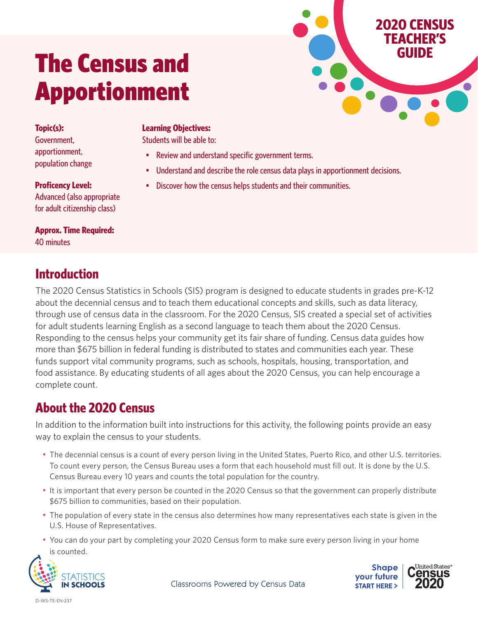# The Census and **The Census and** Apportionment

**Topic(s):** Government, apportionment, population change

**Proficency Level:** Advanced (also appropriate for adult citizenship class)

**Approx. Time Required:** 40 minutes

### **Introduction**

#### **Learning Objectives:**

Students will be able to:

- Review and understand specific government terms.
- Understand and describe the role census data plays in apportionment decisions.
- Discover how the census helps students and their communities.

The 2020 Census Statistics in Schools (SIS) program is designed to educate students in grades pre-K-12 about the decennial census and to teach them educational concepts and skills, such as data literacy, through use of census data in the classroom. For the 2020 Census, SIS created a special set of activities for adult students learning English as a second language to teach them about the 2020 Census. Responding to the census helps your community get its fair share of funding. Census data guides how more than \$675 billion in federal funding is distributed to states and communities each year. These funds support vital community programs, such as schools, hospitals, housing, transportation, and food assistance. By educating students of all ages about the 2020 Census, you can help encourage a complete count.

## **About the 2020 Census**

In addition to the information built into instructions for this activity, the following points provide an easy way to explain the census to your students.

- The decennial census is a count of every person living in the United States, Puerto Rico, and other U.S. territories. To count every person, the Census Bureau uses a form that each household must fill out. It is done by the U.S. Census Bureau every 10 years and counts the total population for the country.
- It is important that every person be counted in the 2020 Census so that the government can properly distribute \$675 billion to communities, based on their population.
- The population of every state in the census also determines how many representatives each state is given in the U.S. House of Representatives.
- You can do your part by completing your 2020 Census form to make sure every person living in your home is counted.





**2020 CENSUS TEACHER'S**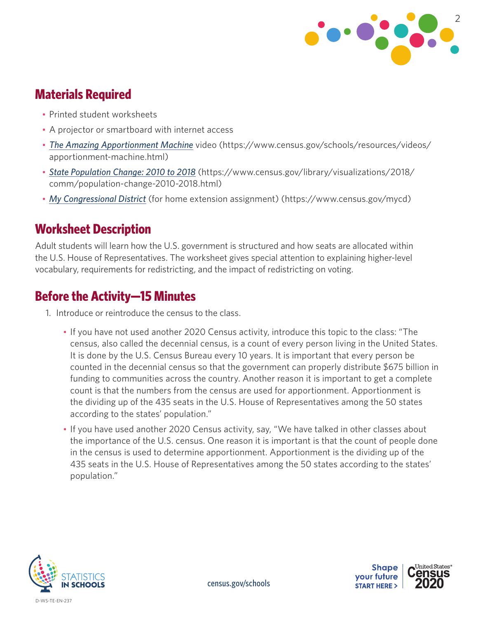

#### **Materials Required**

- Printed student worksheets
- A projector or smartboard with internet access
- *[The Amazing Apportionment Machine](https://www.census.gov/schools/resources/videos/apportionment-machine.html)* video (https://www.census.gov/schools/resources/videos/ apportionment-machine.html)
- *[State Population Change: 2010 to 2018](https://www.census.gov/library/visualizations/2018/comm/population-change-2010-2018.html)* (https://www.census.gov/library/visualizations/2018/ comm/population-change-2010-2018.html)
- *[My Congressional District](https://www.census.gov/mycd/)* (for home extension assignment) (https://www.census.gov/mycd)

#### **Worksheet Description**

Adult students will learn how the U.S. government is structured and how seats are allocated within the U.S. House of Representatives. The worksheet gives special attention to explaining higher-level vocabulary, requirements for redistricting, and the impact of redistricting on voting.

### **Before the Activity—15 Minutes**

- 1. Introduce or reintroduce the census to the class.
	- If you have not used another 2020 Census activity, introduce this topic to the class: "The census, also called the decennial census, is a count of every person living in the United States. It is done by the U.S. Census Bureau every 10 years. It is important that every person be counted in the decennial census so that the government can properly distribute \$675 billion in funding to communities across the country. Another reason it is important to get a complete count is that the numbers from the census are used for apportionment. Apportionment is the dividing up of the 435 seats in the U.S. House of Representatives among the 50 states according to the states' population."
	- If you have used another 2020 Census activity, say, "We have talked in other classes about the importance of the U.S. census. One reason it is important is that the count of people done in the census is used to determine apportionment. Apportionment is the dividing up of the 435 seats in the U.S. House of Representatives among the 50 states according to the states' population."



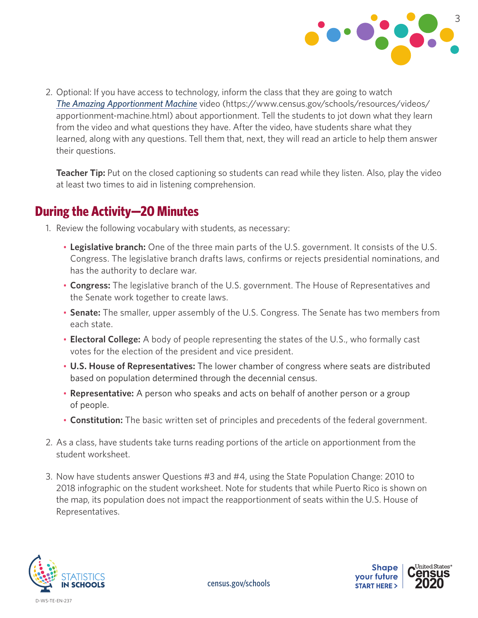

2. Optional: If you have access to technology, inform the class that they are going to watch *T[he Amazing Apportionment Machine](https://www.census.gov/schools/resources/videos/apportionment-machine.html)* video [\(https://www.census.gov/schools/resources/videos/](https://www.census.gov/schools/resources/videos/apportionment-machine.html) [apportionment-machine.html\)](https://www.census.gov/schools/resources/videos/apportionment-machine.html) about apportionment. Tell the students to jot down what they learn from the video and what questions they have. After the video, have students share what they learned, along with any questions. Tell them that, next, they will read an article to help them answer their questions.

**Teacher Tip:** Put on the closed captioning so students can read while they listen. Also, play the video at least two times to aid in listening comprehension.

#### **During the Activity—20 Minutes**

- 1. Review the following vocabulary with students, as necessary:
	- **Legislative branch:** One of the three main parts of the U.S. government. It consists of the U.S. Congress. The legislative branch drafts laws, confirms or rejects presidential nominations, and has the authority to declare war.
	- **Congress:** The legislative branch of the U.S. government. The House of Representatives and the Senate work together to create laws.
	- **Senate:** The smaller, upper assembly of the U.S. Congress. The Senate has two members from each state.
	- **Electoral College:** A body of people representing the states of the U.S., who formally cast votes for the election of the president and vice president.
	- **U.S. House of Representatives:** The lower chamber of congress where seats are distributed based on population determined through the decennial census.
	- **Representative:** A person who speaks and acts on behalf of another person or a group of people.
	- **Constitution:** The basic written set of principles and precedents of the federal government.
- 2. As a class, have students take turns reading portions of the article on apportionment from the student worksheet.
- 3. Now have students answer Questions #3 and #4, using the State Population Change: 2010 to 2018 infographic on the student worksheet. Note for students that while Puerto Rico is shown on the map, its population does not impact the reapportionment of seats within the U.S. House of Representatives.